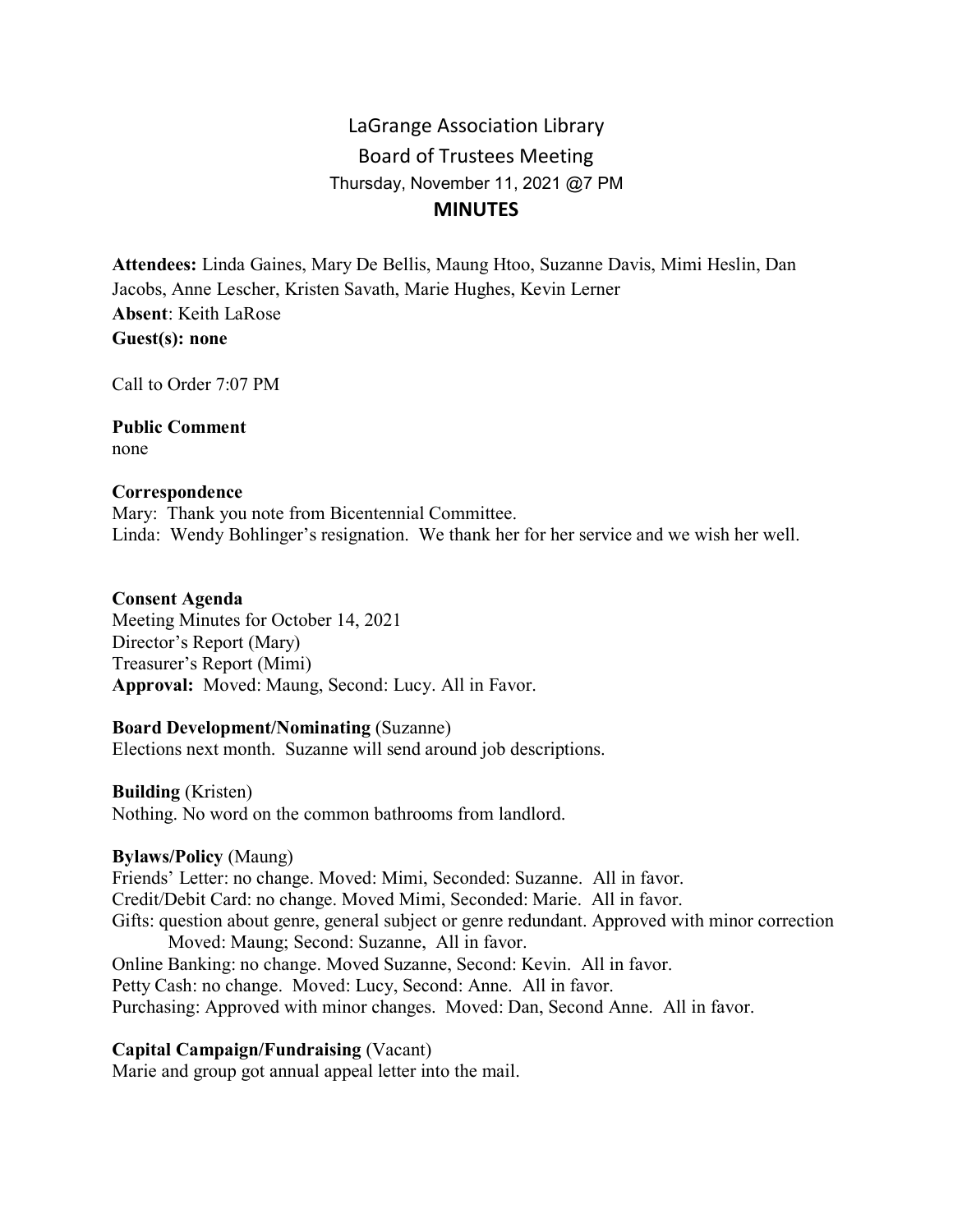# LaGrange Association Library Board of Trustees Meeting Thursday, November 11, 2021 @7 PM **MINUTES**

**Attendees:** Linda Gaines, Mary De Bellis, Maung Htoo, Suzanne Davis, Mimi Heslin, Dan Jacobs, Anne Lescher, Kristen Savath, Marie Hughes, Kevin Lerner **Absent**: Keith LaRose **Guest(s): none**

Call to Order 7:07 PM

**Public Comment** none

#### **Correspondence**

Mary: Thank you note from Bicentennial Committee. Linda: Wendy Bohlinger's resignation. We thank her for her service and we wish her well.

#### **Consent Agenda**

Meeting Minutes for October 14, 2021 Director's Report (Mary) Treasurer's Report (Mimi) **Approval:** Moved: Maung, Second: Lucy. All in Favor.

#### **Board Development/Nominating** (Suzanne)

Elections next month. Suzanne will send around job descriptions.

**Building** (Kristen)

Nothing. No word on the common bathrooms from landlord.

#### **Bylaws/Policy** (Maung)

Friends' Letter: no change. Moved: Mimi, Seconded: Suzanne. All in favor. Credit/Debit Card: no change. Moved Mimi, Seconded: Marie. All in favor. Gifts: question about genre, general subject or genre redundant. Approved with minor correction Moved: Maung; Second: Suzanne, All in favor. Online Banking: no change. Moved Suzanne, Second: Kevin. All in favor. Petty Cash: no change. Moved: Lucy, Second: Anne. All in favor. Purchasing: Approved with minor changes. Moved: Dan, Second Anne. All in favor.

#### **Capital Campaign/Fundraising** (Vacant)

Marie and group got annual appeal letter into the mail.